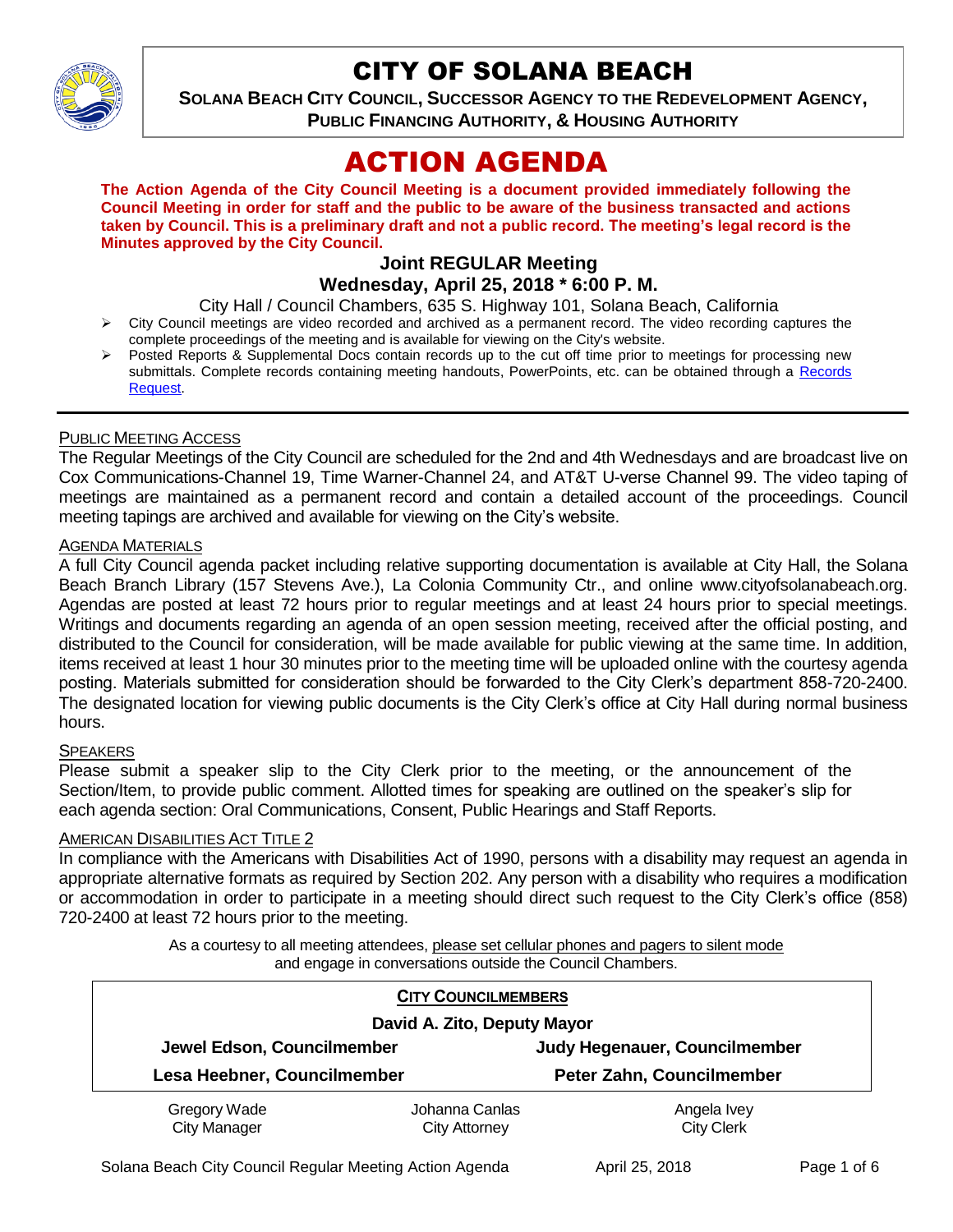

## CITY OF SOLANA BEACH

**SOLANA BEACH CITY COUNCIL, SUCCESSOR AGENCY TO THE REDEVELOPMENT AGENCY, PUBLIC FINANCING AUTHORITY, & HOUSING AUTHORITY** 

# ACTION AGENDA

**The Action Agenda of the City Council Meeting is a document provided immediately following the Council Meeting in order for staff and the public to be aware of the business transacted and actions taken by Council. This is a preliminary draft and not a public record. The meeting's legal record is the Minutes approved by the City Council.**

## **Joint REGULAR Meeting Wednesday, April 25, 2018 \* 6:00 P. M.**

City Hall / Council Chambers, 635 S. Highway 101, Solana Beach, California

- > City Council meetings are video recorded and archived as a permanent record. The video recording captures the complete proceedings of the meeting and is available for viewing on the City's website.
- Posted Reports & Supplemental Docs contain records up to the cut off time prior to meetings for processing new submittals. Complete records containing meeting handouts, PowerPoints, etc. can be obtained through a [Records](http://www.ci.solana-beach.ca.us/index.asp?SEC=F5D45D10-70CE-4291-A27C-7BD633FC6742&Type=B_BASIC)  [Request.](http://www.ci.solana-beach.ca.us/index.asp?SEC=F5D45D10-70CE-4291-A27C-7BD633FC6742&Type=B_BASIC)

#### PUBLIC MEETING ACCESS

The Regular Meetings of the City Council are scheduled for the 2nd and 4th Wednesdays and are broadcast live on Cox Communications-Channel 19, Time Warner-Channel 24, and AT&T U-verse Channel 99. The video taping of meetings are maintained as a permanent record and contain a detailed account of the proceedings. Council meeting tapings are archived and available for viewing on the City's website.

#### AGENDA MATERIALS

A full City Council agenda packet including relative supporting documentation is available at City Hall, the Solana Beach Branch Library (157 Stevens Ave.), La Colonia Community Ctr., and online www.cityofsolanabeach.org. Agendas are posted at least 72 hours prior to regular meetings and at least 24 hours prior to special meetings. Writings and documents regarding an agenda of an open session meeting, received after the official posting, and distributed to the Council for consideration, will be made available for public viewing at the same time. In addition, items received at least 1 hour 30 minutes prior to the meeting time will be uploaded online with the courtesy agenda posting. Materials submitted for consideration should be forwarded to the City Clerk's department 858-720-2400. The designated location for viewing public documents is the City Clerk's office at City Hall during normal business hours.

#### **SPEAKERS**

Please submit a speaker slip to the City Clerk prior to the meeting, or the announcement of the Section/Item, to provide public comment. Allotted times for speaking are outlined on the speaker's slip for each agenda section: Oral Communications, Consent, Public Hearings and Staff Reports.

#### **AMERICAN DISABILITIES ACT TITLE 2**

In compliance with the Americans with Disabilities Act of 1990, persons with a disability may request an agenda in appropriate alternative formats as required by Section 202. Any person with a disability who requires a modification or accommodation in order to participate in a meeting should direct such request to the City Clerk's office (858) 720-2400 at least 72 hours prior to the meeting.

> As a courtesy to all meeting attendees, please set cellular phones and pagers to silent mode and engage in conversations outside the Council Chambers.

| <b>CITY COUNCILMEMBERS</b>          |                                        |                                  |
|-------------------------------------|----------------------------------------|----------------------------------|
| David A. Zito, Deputy Mayor         |                                        |                                  |
| Jewel Edson, Councilmember          |                                        | Judy Hegenauer, Councilmember    |
| Lesa Heebner, Councilmember         |                                        | Peter Zahn, Councilmember        |
| Gregory Wade<br><b>City Manager</b> | Johanna Canlas<br><b>City Attorney</b> | Angela Ivey<br><b>City Clerk</b> |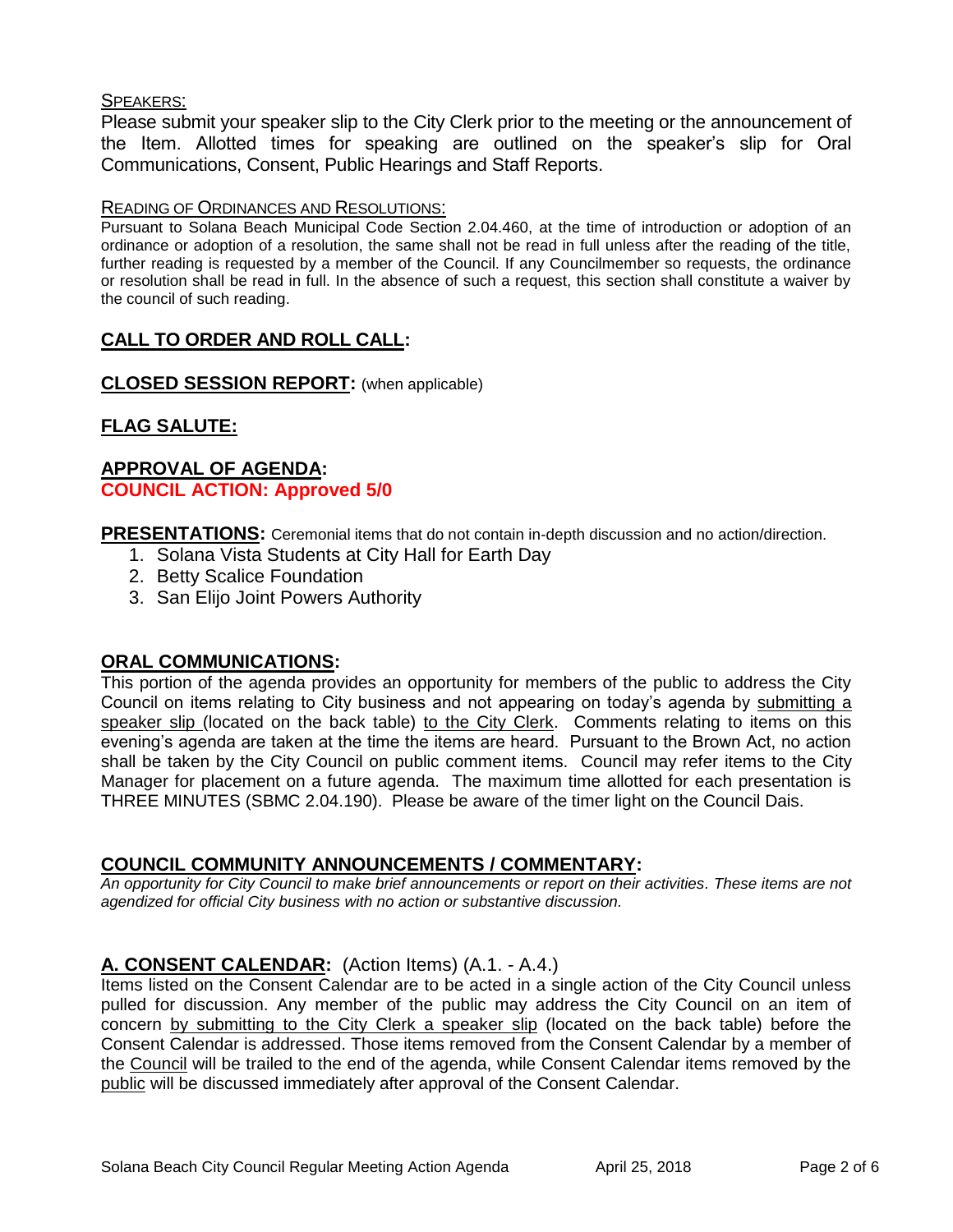#### SPEAKERS:

Please submit your speaker slip to the City Clerk prior to the meeting or the announcement of the Item. Allotted times for speaking are outlined on the speaker's slip for Oral Communications, Consent, Public Hearings and Staff Reports.

#### READING OF ORDINANCES AND RESOLUTIONS:

Pursuant to Solana Beach Municipal Code Section 2.04.460, at the time of introduction or adoption of an ordinance or adoption of a resolution, the same shall not be read in full unless after the reading of the title, further reading is requested by a member of the Council. If any Councilmember so requests, the ordinance or resolution shall be read in full. In the absence of such a request, this section shall constitute a waiver by the council of such reading.

## **CALL TO ORDER AND ROLL CALL:**

**CLOSED SESSION REPORT:** (when applicable)

## **FLAG SALUTE:**

#### **APPROVAL OF AGENDA: COUNCIL ACTION: Approved 5/0**

**PRESENTATIONS:** Ceremonial items that do not contain in-depth discussion and no action/direction.

- 1. Solana Vista Students at City Hall for Earth Day
- 2. Betty Scalice Foundation
- 3. San Elijo Joint Powers Authority

#### **ORAL COMMUNICATIONS:**

This portion of the agenda provides an opportunity for members of the public to address the City Council on items relating to City business and not appearing on today's agenda by submitting a speaker slip (located on the back table) to the City Clerk. Comments relating to items on this evening's agenda are taken at the time the items are heard. Pursuant to the Brown Act, no action shall be taken by the City Council on public comment items. Council may refer items to the City Manager for placement on a future agenda. The maximum time allotted for each presentation is THREE MINUTES (SBMC 2.04.190). Please be aware of the timer light on the Council Dais.

#### **COUNCIL COMMUNITY ANNOUNCEMENTS / COMMENTARY:**

*An opportunity for City Council to make brief announcements or report on their activities. These items are not agendized for official City business with no action or substantive discussion.* 

#### **A. CONSENT CALENDAR:** (Action Items) (A.1. - A.4.)

Items listed on the Consent Calendar are to be acted in a single action of the City Council unless pulled for discussion. Any member of the public may address the City Council on an item of concern by submitting to the City Clerk a speaker slip (located on the back table) before the Consent Calendar is addressed. Those items removed from the Consent Calendar by a member of the Council will be trailed to the end of the agenda, while Consent Calendar items removed by the public will be discussed immediately after approval of the Consent Calendar.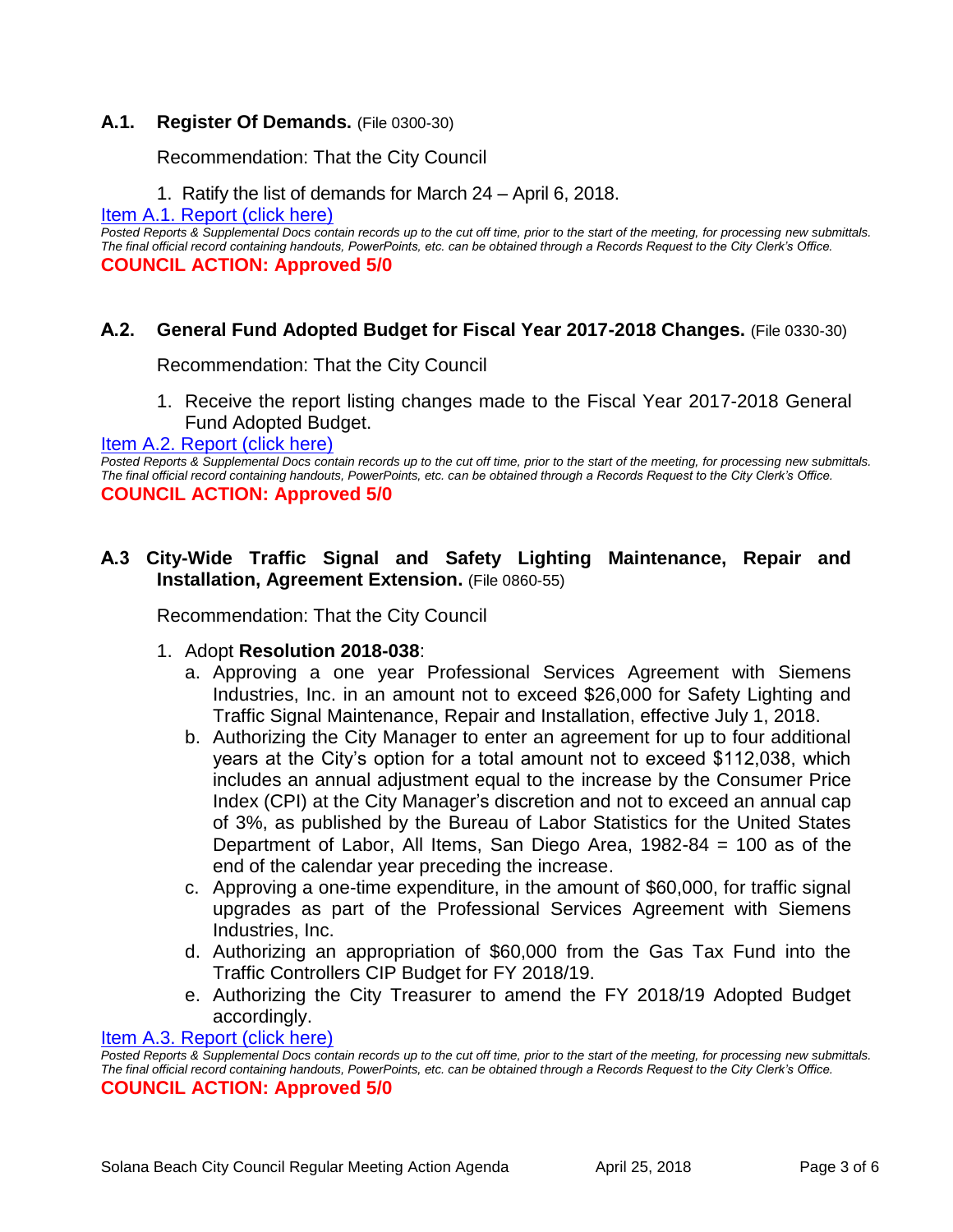#### **A.1. Register Of Demands.** (File 0300-30)

Recommendation: That the City Council

1. Ratify the list of demands for March 24 – April 6, 2018.

[Item A.1. Report \(click here\)](https://solanabeach.govoffice3.com/vertical/Sites/%7B840804C2-F869-4904-9AE3-720581350CE7%7D/uploads/Item_A.1._Report_(click_here)_4-25-18.PDF)

*Posted Reports & Supplemental Docs contain records up to the cut off time, prior to the start of the meeting, for processing new submittals. The final official record containing handouts, PowerPoints, etc. can be obtained through a Records Request to the City Clerk's Office.* **COUNCIL ACTION: Approved 5/0** 

#### **A.2. General Fund Adopted Budget for Fiscal Year 2017-2018 Changes.** (File 0330-30)

Recommendation: That the City Council

1. Receive the report listing changes made to the Fiscal Year 2017-2018 General Fund Adopted Budget.

#### [Item A.2. Report \(click here\)](https://solanabeach.govoffice3.com/vertical/Sites/%7B840804C2-F869-4904-9AE3-720581350CE7%7D/uploads/Item_A.2._Report_(click_here)_4-25-18.PDF)

*Posted Reports & Supplemental Docs contain records up to the cut off time, prior to the start of the meeting, for processing new submittals. The final official record containing handouts, PowerPoints, etc. can be obtained through a Records Request to the City Clerk's Office.* **COUNCIL ACTION: Approved 5/0** 

#### **A.3 City-Wide Traffic Signal and Safety Lighting Maintenance, Repair and Installation, Agreement Extension.** (File 0860-55)

Recommendation: That the City Council

#### 1. Adopt **Resolution 2018-038**:

- a. Approving a one year Professional Services Agreement with Siemens Industries, Inc. in an amount not to exceed \$26,000 for Safety Lighting and Traffic Signal Maintenance, Repair and Installation, effective July 1, 2018.
- b. Authorizing the City Manager to enter an agreement for up to four additional years at the City's option for a total amount not to exceed \$112,038, which includes an annual adjustment equal to the increase by the Consumer Price Index (CPI) at the City Manager's discretion and not to exceed an annual cap of 3%, as published by the Bureau of Labor Statistics for the United States Department of Labor, All Items, San Diego Area, 1982-84 = 100 as of the end of the calendar year preceding the increase.
- c. Approving a one-time expenditure, in the amount of \$60,000, for traffic signal upgrades as part of the Professional Services Agreement with Siemens Industries, Inc.
- d. Authorizing an appropriation of \$60,000 from the Gas Tax Fund into the Traffic Controllers CIP Budget for FY 2018/19.
- e. Authorizing the City Treasurer to amend the FY 2018/19 Adopted Budget accordingly.

[Item A.3. Report \(click here\)](https://solanabeach.govoffice3.com/vertical/Sites/%7B840804C2-F869-4904-9AE3-720581350CE7%7D/uploads/Item_A.3._Report_(click_here)_4-25-18.PDF)

*Posted Reports & Supplemental Docs contain records up to the cut off time, prior to the start of the meeting, for processing new submittals. The final official record containing handouts, PowerPoints, etc. can be obtained through a Records Request to the City Clerk's Office.* **COUNCIL ACTION: Approved 5/0**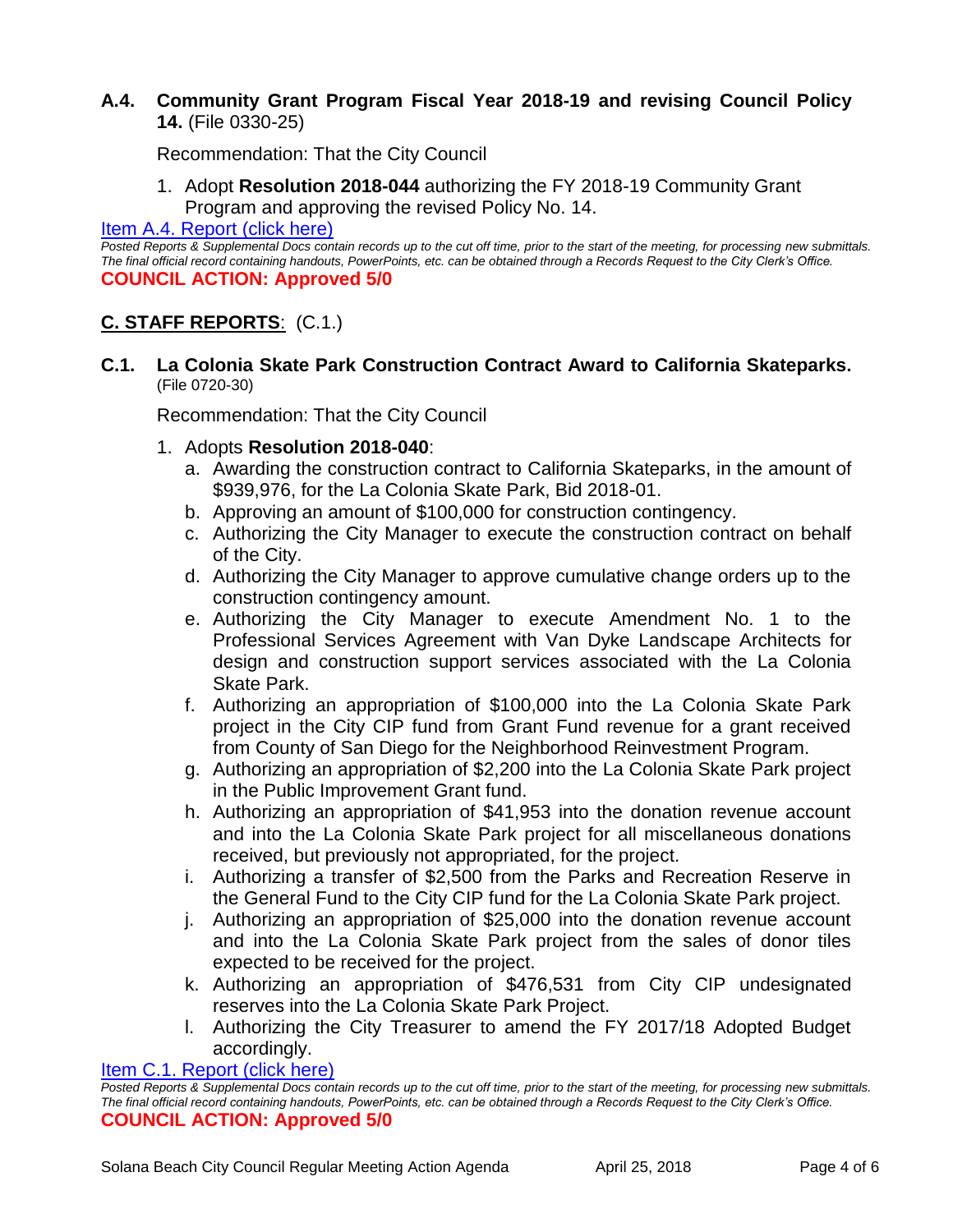## **A.4. Community Grant Program Fiscal Year 2018-19 and revising Council Policy 14.** (File 0330-25)

Recommendation: That the City Council

1. Adopt **Resolution 2018-044** authorizing the FY 2018-19 Community Grant Program and approving the revised Policy No. 14.

[Item A.4. Report \(click here\)](https://solanabeach.govoffice3.com/vertical/Sites/%7B840804C2-F869-4904-9AE3-720581350CE7%7D/uploads/Item_A.4._Report_(click_here)_4-25-18.PDF)

*Posted Reports & Supplemental Docs contain records up to the cut off time, prior to the start of the meeting, for processing new submittals. The final official record containing handouts, PowerPoints, etc. can be obtained through a Records Request to the City Clerk's Office.* **COUNCIL ACTION: Approved 5/0** 

## **C. STAFF REPORTS**: (C.1.)

**C.1. La Colonia Skate Park Construction Contract Award to California Skateparks.** (File 0720-30)

Recommendation: That the City Council

- 1. Adopts **Resolution 2018-040**:
	- a. Awarding the construction contract to California Skateparks, in the amount of \$939,976, for the La Colonia Skate Park, Bid 2018-01.
	- b. Approving an amount of \$100,000 for construction contingency.
	- c. Authorizing the City Manager to execute the construction contract on behalf of the City.
	- d. Authorizing the City Manager to approve cumulative change orders up to the construction contingency amount.
	- e. Authorizing the City Manager to execute Amendment No. 1 to the Professional Services Agreement with Van Dyke Landscape Architects for design and construction support services associated with the La Colonia Skate Park.
	- f. Authorizing an appropriation of \$100,000 into the La Colonia Skate Park project in the City CIP fund from Grant Fund revenue for a grant received from County of San Diego for the Neighborhood Reinvestment Program.
	- g. Authorizing an appropriation of \$2,200 into the La Colonia Skate Park project in the Public Improvement Grant fund.
	- h. Authorizing an appropriation of \$41,953 into the donation revenue account and into the La Colonia Skate Park project for all miscellaneous donations received, but previously not appropriated, for the project.
	- i. Authorizing a transfer of \$2,500 from the Parks and Recreation Reserve in the General Fund to the City CIP fund for the La Colonia Skate Park project.
	- j. Authorizing an appropriation of \$25,000 into the donation revenue account and into the La Colonia Skate Park project from the sales of donor tiles expected to be received for the project.
	- k. Authorizing an appropriation of \$476,531 from City CIP undesignated reserves into the La Colonia Skate Park Project.
	- l. Authorizing the City Treasurer to amend the FY 2017/18 Adopted Budget accordingly.

[Item C.1. Report \(click here\)](https://solanabeach.govoffice3.com/vertical/Sites/%7B840804C2-F869-4904-9AE3-720581350CE7%7D/uploads/Item_C.1._Report_(click_here)_4-25-18.PDF)

*Posted Reports & Supplemental Docs contain records up to the cut off time, prior to the start of the meeting, for processing new submittals. The final official record containing handouts, PowerPoints, etc. can be obtained through a Records Request to the City Clerk's Office.* **COUNCIL ACTION: Approved 5/0**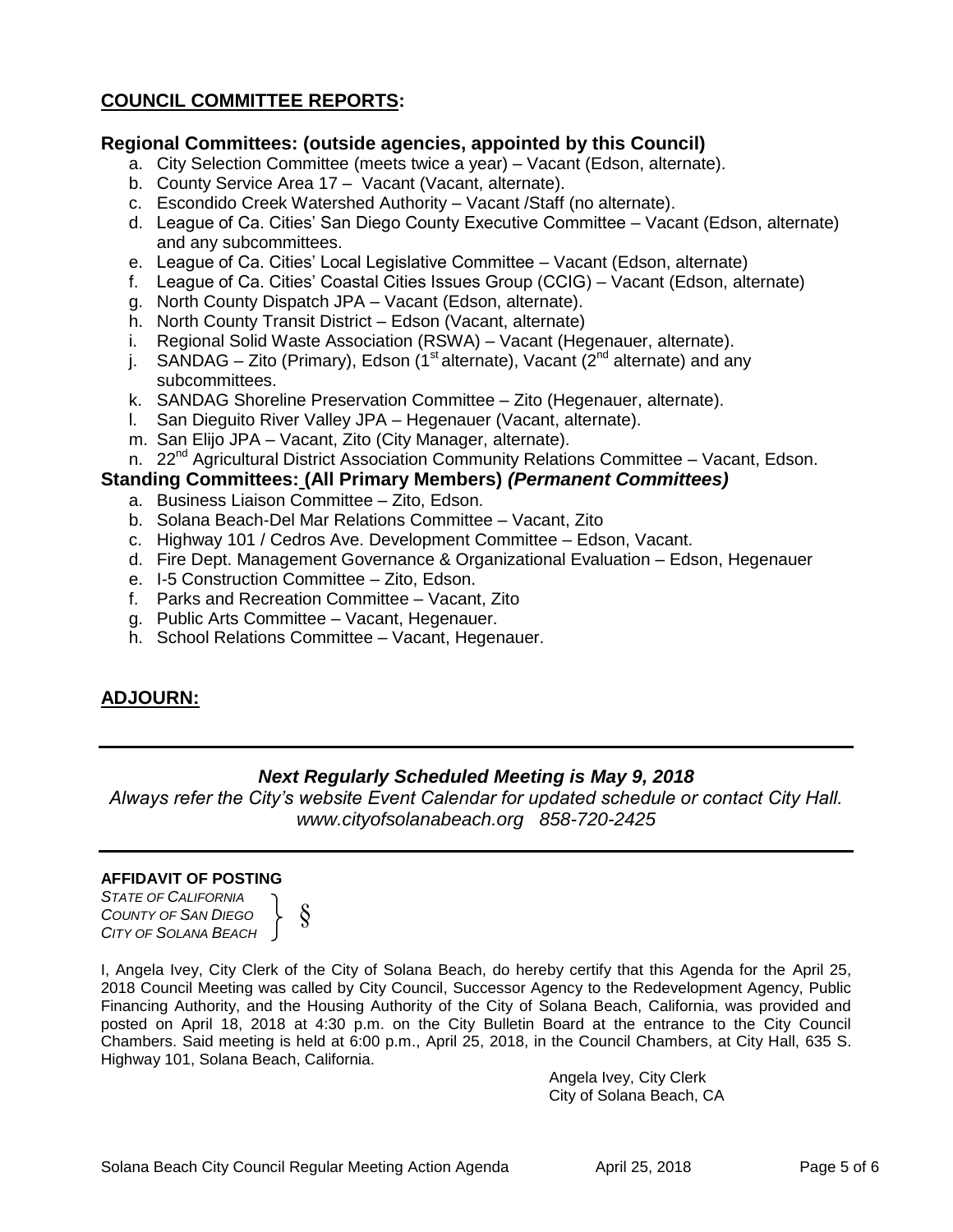## **COUNCIL COMMITTEE REPORTS:**

#### **Regional Committees: (outside agencies, appointed by this Council)**

- a. City Selection Committee (meets twice a year) Vacant (Edson, alternate).
- b. County Service Area 17 Vacant (Vacant, alternate).
- c. Escondido Creek Watershed Authority Vacant /Staff (no alternate).
- d. League of Ca. Cities' San Diego County Executive Committee Vacant (Edson, alternate) and any subcommittees.
- e. League of Ca. Cities' Local Legislative Committee Vacant (Edson, alternate)
- f. League of Ca. Cities' Coastal Cities Issues Group (CCIG) Vacant (Edson, alternate)
- g. North County Dispatch JPA Vacant (Edson, alternate).
- h. North County Transit District Edson (Vacant, alternate)
- i. Regional Solid Waste Association (RSWA) Vacant (Hegenauer, alternate).
- j. SANDAG Zito (Primary), Edson (1<sup>st</sup> alternate), Vacant ( $2<sup>nd</sup>$  alternate) and any subcommittees.
- k. SANDAG Shoreline Preservation Committee Zito (Hegenauer, alternate).
- l. San Dieguito River Valley JPA Hegenauer (Vacant, alternate).
- m. San Elijo JPA Vacant, Zito (City Manager, alternate).
- n. 22<sup>nd</sup> Agricultural District Association Community Relations Committee Vacant, Edson.

#### **Standing Committees: (All Primary Members)** *(Permanent Committees)*

- a. Business Liaison Committee Zito, Edson.
- b. Solana Beach-Del Mar Relations Committee Vacant, Zito
- c. Highway 101 / Cedros Ave. Development Committee Edson, Vacant.
- d. Fire Dept. Management Governance & Organizational Evaluation Edson, Hegenauer
- e. I-5 Construction Committee Zito, Edson.
- f. Parks and Recreation Committee Vacant, Zito
- g. Public Arts Committee Vacant, Hegenauer.
- h. School Relations Committee Vacant, Hegenauer.

#### **ADJOURN:**

#### *Next Regularly Scheduled Meeting is May 9, 2018*

*Always refer the City's website Event Calendar for updated schedule or contact City Hall. www.cityofsolanabeach.org 858-720-2425*

#### **AFFIDAVIT OF POSTING**

*STATE OF CALIFORNIA COUNTY OF SAN DIEGO CITY OF SOLANA BEACH*



I, Angela Ivey, City Clerk of the City of Solana Beach, do hereby certify that this Agenda for the April 25, 2018 Council Meeting was called by City Council, Successor Agency to the Redevelopment Agency, Public Financing Authority, and the Housing Authority of the City of Solana Beach, California, was provided and posted on April 18, 2018 at 4:30 p.m. on the City Bulletin Board at the entrance to the City Council Chambers. Said meeting is held at 6:00 p.m., April 25, 2018, in the Council Chambers, at City Hall, 635 S. Highway 101, Solana Beach, California.

> Angela Ivey, City Clerk City of Solana Beach, CA